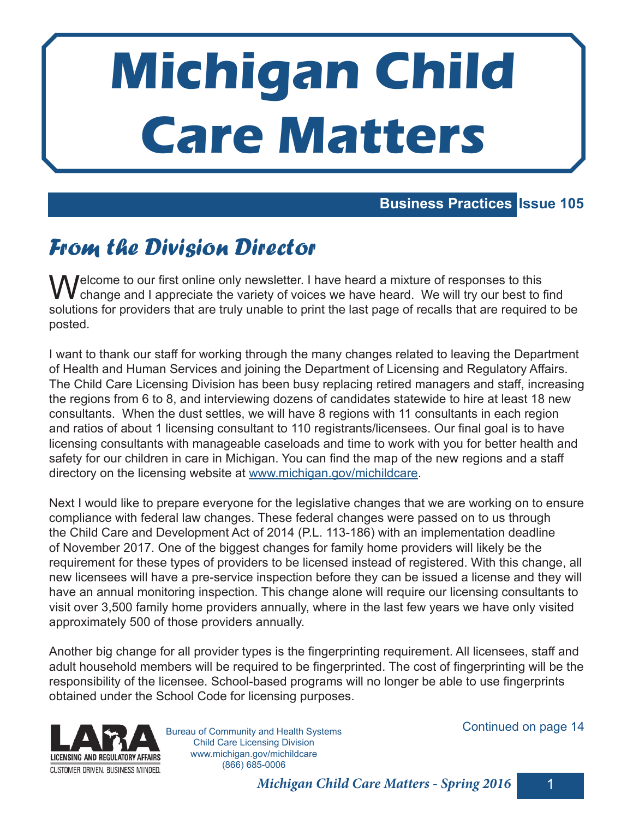# **Michigan Child Care Matters**

#### **Business Practices Issue 105**

# From the Division Director

M Jelcome to our first online only newsletter. I have heard a mixture of responses to this change and I appreciate the variety of voices we have heard. We will try our best to find solutions for providers that are truly unable to print the last page of recalls that are required to be posted.

I want to thank our staff for working through the many changes related to leaving the Department of Health and Human Services and joining the Department of Licensing and Regulatory Affairs. The Child Care Licensing Division has been busy replacing retired managers and staff, increasing the regions from 6 to 8, and interviewing dozens of candidates statewide to hire at least 18 new consultants. When the dust settles, we will have 8 regions with 11 consultants in each region and ratios of about 1 licensing consultant to 110 registrants/licensees. Our final goal is to have licensing consultants with manageable caseloads and time to work with you for better health and safety for our children in care in Michigan. You can find the map of the new regions and a staff directory on the licensing website at www.michigan.gov/michildcare.

Next I would like to prepare everyone for the legislative changes that we are working on to ensure compliance with federal law changes. These federal changes were passed on to us through the Child Care and Development Act of 2014 (P.L. 113-186) with an implementation deadline of November 2017. One of the biggest changes for family home providers will likely be the requirement for these types of providers to be licensed instead of registered. With this change, all new licensees will have a pre-service inspection before they can be issued a license and they will have an annual monitoring inspection. This change alone will require our licensing consultants to visit over 3,500 family home providers annually, where in the last few years we have only visited approximately 500 of those providers annually.

Another big change for all provider types is the fingerprinting requirement. All licensees, staff and adult household members will be required to be fingerprinted. The cost of fingerprinting will be the responsibility of the licensee. School-based programs will no longer be able to use fingerprints obtained under the School Code for licensing purposes.



Bureau of Community and Health Systems Child Care Licensing Division www.michigan.gov/michildcare (866) 685-0006

#### Continued on page 14

**Michigan Child Care Matters - Spring 2016** 1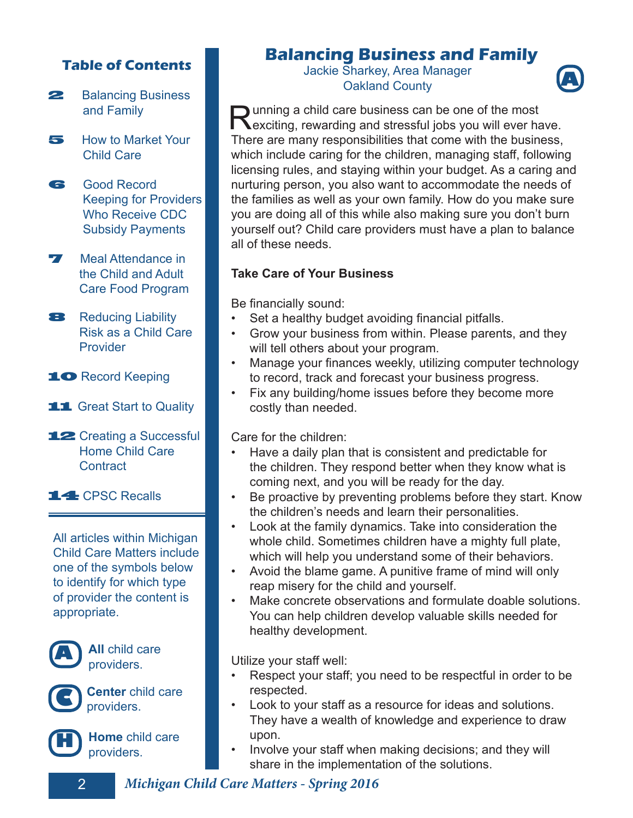#### **Table of Contents**

- **22 Balancing Business** and Family
- 5 How to Market Your Child Care
- 61 Good Record Keeping for Providers Who Receive CDC Subsidy Payments
- **7** Meal Attendance in the Child and Adult Care Food Program
- **8** Reducing Liability Risk as a Child Care Provider
- 10 Record Keeping
- **11** Great Start to Quality
- 12 Creating a Successful Home Child Care **Contract**

14 CPSC Recalls

All articles within Michigan Child Care Matters include one of the symbols below to identify for which type of provider the content is appropriate.



**A All** child care providers.



**Center** child care **providers**.



**H Home** child care providers.

#### **Balancing Business and Family**

Jackie Sharkey, Area Manager **Oakland County** 



**PULLER EXECUTE:** The warding and stressful jobs you will ever have. unning a child care business can be one of the most There are many responsibilities that come with the business, which include caring for the children, managing staff, following licensing rules, and staying within your budget. As a caring and nurturing person, you also want to accommodate the needs of the families as well as your own family. How do you make sure you are doing all of this while also making sure you don't burn yourself out? Child care providers must have a plan to balance all of these needs.

#### **Take Care of Your Business**

Be financially sound:

- Set a healthy budget avoiding financial pitfalls.
- Grow your business from within. Please parents, and they will tell others about your program.
- Manage your finances weekly, utilizing computer technology to record, track and forecast your business progress.
- Fix any building/home issues before they become more costly than needed.

Care for the children:

- Have a daily plan that is consistent and predictable for the children. They respond better when they know what is coming next, and you will be ready for the day.
- Be proactive by preventing problems before they start. Know the children's needs and learn their personalities.
- Look at the family dynamics. Take into consideration the whole child. Sometimes children have a mighty full plate, which will help you understand some of their behaviors.
- Avoid the blame game. A punitive frame of mind will only reap misery for the child and yourself.
- Make concrete observations and formulate doable solutions. You can help children develop valuable skills needed for healthy development.

Utilize your staff well:

- Respect your staff; you need to be respectful in order to be respected.
- Look to your staff as a resource for ideas and solutions. They have a wealth of knowledge and experience to draw upon.
- Involve your staff when making decisions; and they will share in the implementation of the solutions.

2 **Michigan Child Care Matters - Spring 2016**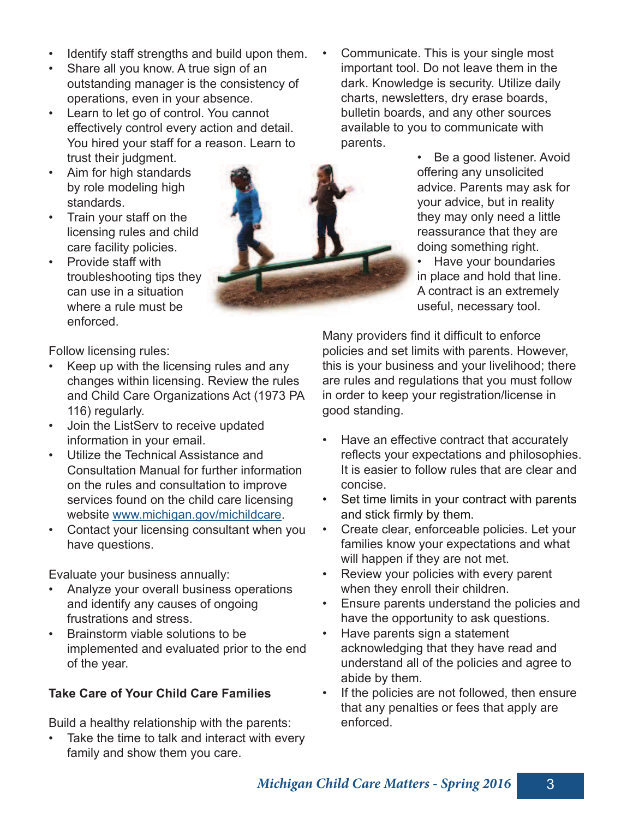- Identify staff strengths and build upon them.
- Share all you know. A true sign of an outstanding manager is the consistency of operations, even in your absence.
- Learn to let go of control. You cannot effectively control every action and detail. You hired your staff for a reason. Learn to trust their judgment.
- Aim for high standards by role modeling high standards.
- Train your staff on the licensing rules and child care facility policies.
- Provide staff with troubleshooting tips they can use in a situation where a rule must be enforced.

Follow licensing rules:

- Keep up with the licensing rules and any changes within licensing. Review the rules and Child Care Organizations Act (1973 PA 116) regularly.
- Join the ListServ to receive updated information in your email.
- Utilize the Technical Assistance and Consultation Manual for further information on the rules and consultation to improve services found on the child care licensing website www.michigan.gov/michildcare.
- Contact your licensing consultant when you have questions.

Evaluate your business annually:

- Analyze your overall business operations and identify any causes of ongoing frustrations and stress.
- Brainstorm viable solutions to be implemented and evaluated prior to the end of the year.

#### **Take Care of Your Child Care Families**

Build a healthy relationship with the parents:

Take the time to talk and interact with every family and show them you care.

• Communicate. This is your single most important tool. Do not leave them in the dark. Knowledge is security. Utilize daily charts, newsletters, dry erase boards, bulletin boards, and any other sources available to you to communicate with parents.

> • Be a good listener. Avoid offering any unsolicited advice. Parents may ask for your advice, but in reality they may only need a little reassurance that they are doing something right.

• Have your boundaries in place and hold that line. A contract is an extremely useful, necessary tool.

Many providers find it difficult to enforce policies and set limits with parents. However, this is your business and your livelihood; there are rules and regulations that you must follow in order to keep your registration/license in good standing.

- Have an effective contract that accurately reflects your expectations and philosophies. It is easier to follow rules that are clear and concise.
- Set time limits in your contract with parents and stick firmly by them.
- Create clear, enforceable policies. Let your families know your expectations and what will happen if they are not met.
- Review your policies with every parent when they enroll their children.
- Ensure parents understand the policies and have the opportunity to ask questions.
- Have parents sign a statement acknowledging that they have read and understand all of the policies and agree to abide by them.
- If the policies are not followed, then ensure that any penalties or fees that apply are enforced.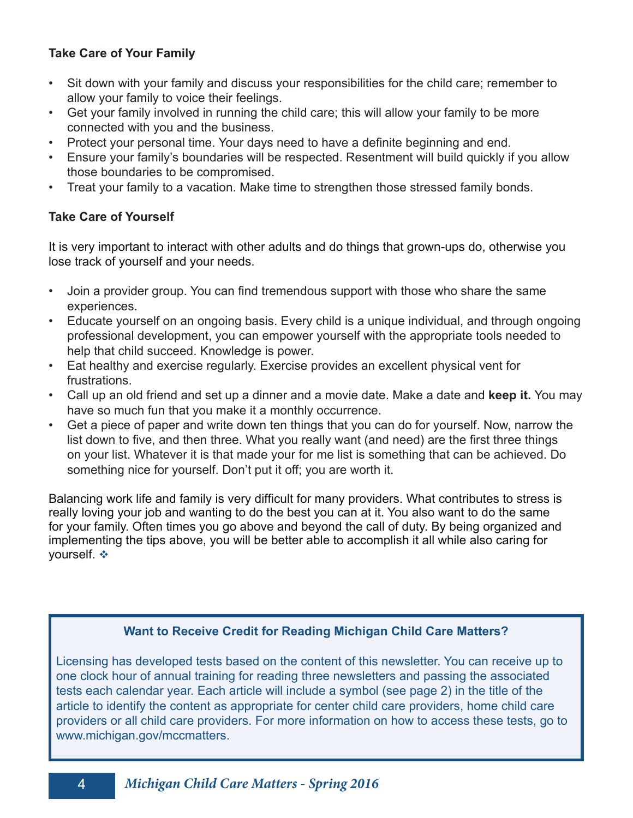#### **Take Care of Your Family**

- Sit down with your family and discuss your responsibilities for the child care; remember to allow your family to voice their feelings.
- Get your family involved in running the child care; this will allow your family to be more connected with you and the business.
- Protect your personal time. Your days need to have a definite beginning and end.
- Ensure your family's boundaries will be respected. Resentment will build quickly if you allow those boundaries to be compromised.
- Treat your family to a vacation. Make time to strengthen those stressed family bonds.

#### **Take Care of Yourself**

It is very important to interact with other adults and do things that grown-ups do, otherwise you lose track of yourself and your needs.

- Join a provider group. You can find tremendous support with those who share the same experiences.
- Educate yourself on an ongoing basis. Every child is a unique individual, and through ongoing professional development, you can empower yourself with the appropriate tools needed to help that child succeed. Knowledge is power.
- Eat healthy and exercise regularly. Exercise provides an excellent physical vent for frustrations.
- Call up an old friend and set up a dinner and a movie date. Make a date and **keep it.** You may have so much fun that you make it a monthly occurrence.
- Get a piece of paper and write down ten things that you can do for yourself. Now, narrow the list down to five, and then three. What you really want (and need) are the first three things on your list. Whatever it is that made your for me list is something that can be achieved. Do something nice for yourself. Don't put it off; you are worth it.

Balancing work life and family is very difficult for many providers. What contributes to stress is really loving your job and wanting to do the best you can at it. You also want to do the same for your family. Often times you go above and beyond the call of duty. By being organized and implementing the tips above, you will be better able to accomplish it all while also caring for yourself.  $\div$ 

#### **Want to Receive Credit for Reading Michigan Child Care Matters?**

Licensing has developed tests based on the content of this newsletter. You can receive up to one clock hour of annual training for reading three newsletters and passing the associated tests each calendar year. Each article will include a symbol (see page 2) in the title of the article to identify the content as appropriate for center child care providers, home child care providers or all child care providers. For more information on how to access these tests, go to www.michigan.gov/mccmatters.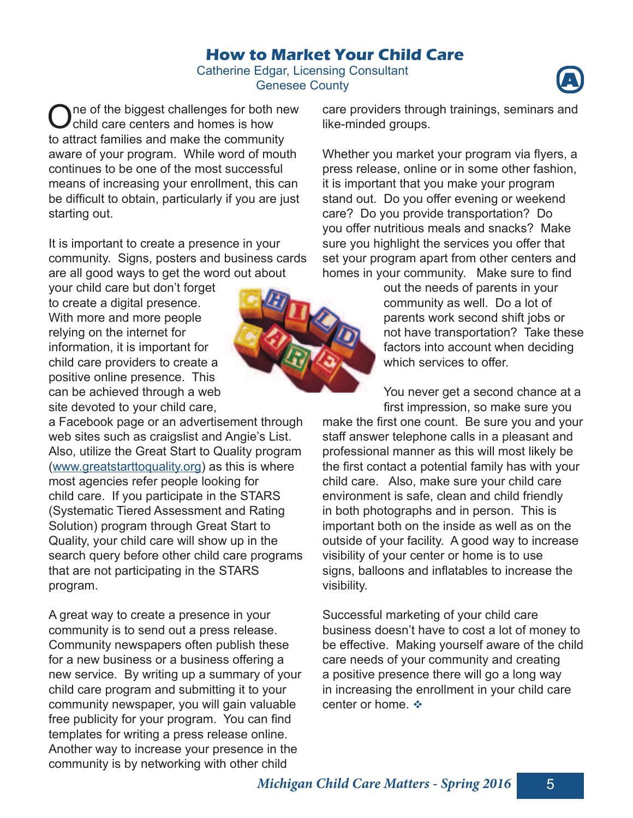Successful marketing of your child care business doesn't have to cost a lot of money to be effective. Making yourself aware of the child care needs of your community and creating a positive presence there will go a long way

parents work second shift jobs or not have transportation? Take these factors into account when deciding which services to offer.

make the first one count. Be sure you and your

# **How to Market Your Child Care**

Catherine Edgar, Licensing Consultant Genesee County **A**

One of the biggest challenges for both<br>Child care centers and homes is how ne of the biggest challenges for both new to attract families and make the community aware of your program. While word of mouth continues to be one of the most successful means of increasing your enrollment, this can be difficult to obtain, particularly if you are just starting out.

It is important to create a presence in your community. Signs, posters and business cards are all good ways to get the word out about

your child care but don't forget to create a digital presence. With more and more people relying on the internet for information, it is important for child care providers to create a positive online presence. This can be achieved through a web site devoted to your child care,

a Facebook page or an advertisement through web sites such as craigslist and Angie's List. Also, utilize the Great Start to Quality program (www.greatstarttoquality.org) as this is where most agencies refer people looking for child care. If you participate in the STARS (Systematic Tiered Assessment and Rating Solution) program through Great Start to Quality, your child care will show up in the search query before other child care programs that are not participating in the STARS program.

A great way to create a presence in your community is to send out a press release. Community newspapers often publish these for a new business or a business offering a new service. By writing up a summary of your child care program and submitting it to your community newspaper, you will gain valuable free publicity for your program. You can find templates for writing a press release online. Another way to increase your presence in the community is by networking with other child

care providers through trainings, seminars and like-minded groups.

Whether you market your program via flyers, a press release, online or in some other fashion, it is important that you make your program stand out. Do you offer evening or weekend care? Do you provide transportation? Do you offer nutritious meals and snacks? Make sure you highlight the services you offer that set your program apart from other centers and homes in your community. Make sure to find

out the needs of parents in your community as well. Do a lot of

You never get a second chance at a first impression, so make sure you

staff answer telephone calls in a pleasant and professional manner as this will most likely be the first contact a potential family has with your child care. Also, make sure your child care environment is safe, clean and child friendly in both photographs and in person. This is important both on the inside as well as on the outside of your facility. A good way to increase visibility of your center or home is to use signs, balloons and inflatables to increase the visibility.





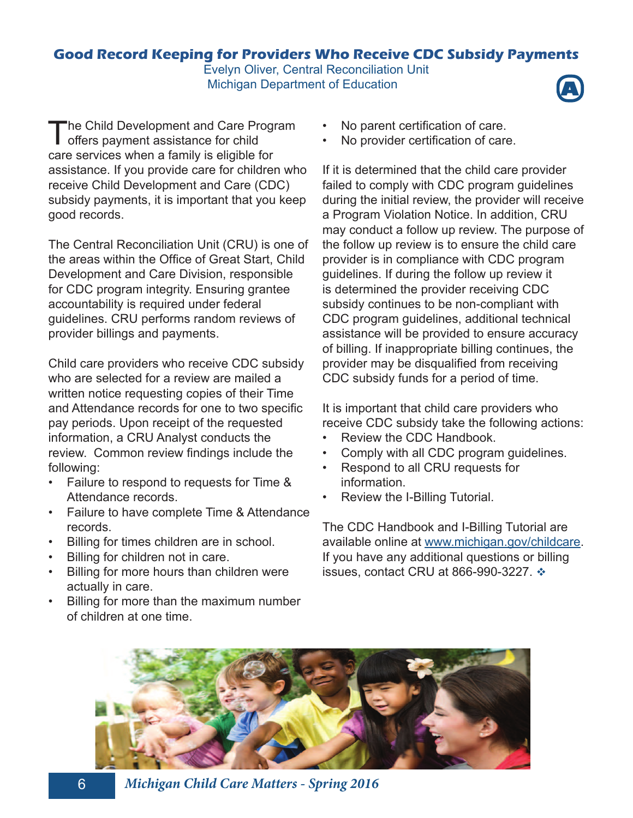#### **Good Record Keeping for Providers Who Receive CDC Subsidy Payments**  Evelyn Oliver, Central Reconciliation Unit

**Michigan Department of Education** 



The Central Reconciliation Unit (CRU) is one of the areas within the Office of Great Start, Child Development and Care Division, responsible for CDC program integrity. Ensuring grantee accountability is required under federal guidelines. CRU performs random reviews of provider billings and payments.

Child care providers who receive CDC subsidy who are selected for a review are mailed a written notice requesting copies of their Time and Attendance records for one to two specific pay periods. Upon receipt of the requested information, a CRU Analyst conducts the review. Common review findings include the following:

- Failure to respond to requests for Time & Attendance records.
- Failure to have complete Time & Attendance records.
- Billing for times children are in school.
- Billing for children not in care.
- Billing for more hours than children were actually in care.
- Billing for more than the maximum number of children at one time.
- No parent certification of care.
- No provider certification of care.

If it is determined that the child care provider failed to comply with CDC program guidelines during the initial review, the provider will receive a Program Violation Notice. In addition, CRU may conduct a follow up review. The purpose of the follow up review is to ensure the child care provider is in compliance with CDC program guidelines. If during the follow up review it is determined the provider receiving CDC subsidy continues to be non-compliant with CDC program guidelines, additional technical assistance will be provided to ensure accuracy of billing. If inappropriate billing continues, the provider may be disqualified from receiving CDC subsidy funds for a period of time.

It is important that child care providers who receive CDC subsidy take the following actions:

- Review the CDC Handbook.
- Comply with all CDC program guidelines.
- Respond to all CRU requests for information.
- Review the I-Billing Tutorial.

The CDC Handbook and I-Billing Tutorial are available online at www.michigan.gov/childcare. If you have any additional questions or billing issues, contact CRU at 866-990-3227.  $\cdot$ 





6 **Michigan Child Care Matters - Spring 2016**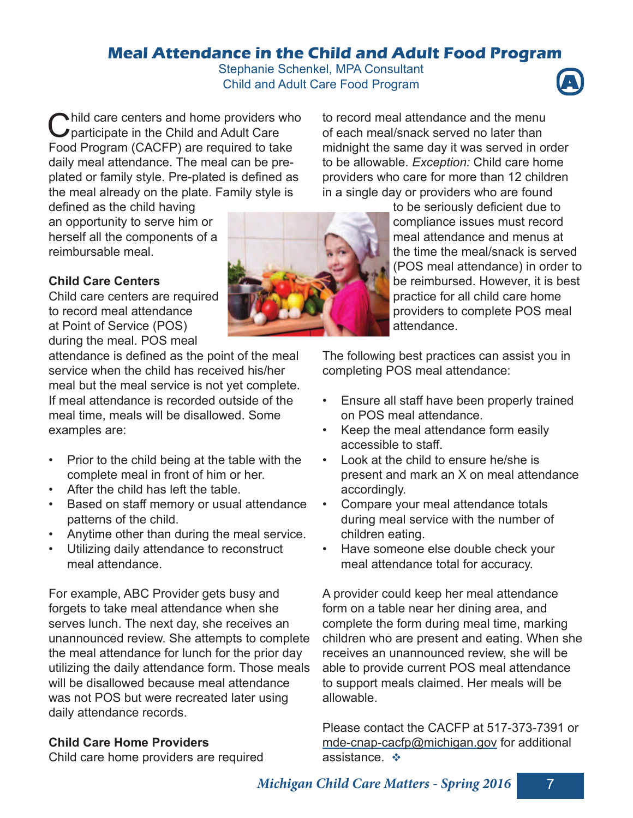#### **Meal Attendance in the Child and Adult Food Program**

Stephanie Schenkel, MPA Consultant **Child and Adult Care Food Program** 



Child care centers and home providers v<br>Constraint participate in the Child and Adult Care hild care centers and home providers who Food Program (CACFP) are required to take daily meal attendance. The meal can be preplated or family style. Pre-plated is defined as the meal already on the plate. Family style is

to record meal attendance and the menu of each meal/snack served no later than midnight the same day it was served in order to be allowable. *Exception:* Child care home providers who care for more than 12 children in a single day or providers who are found

defined as the child having an opportunity to serve him or herself all the components of a reimbursable meal.

#### **Child Care Centers**

Child care centers are required to record meal attendance at Point of Service (POS) during the meal. POS meal

attendance is defined as the point of the meal service when the child has received his/her meal but the meal service is not yet complete. If meal attendance is recorded outside of the meal time, meals will be disallowed. Some examples are:

- Prior to the child being at the table with the complete meal in front of him or her.
- After the child has left the table.
- Based on staff memory or usual attendance patterns of the child.
- Anytime other than during the meal service.
- Utilizing daily attendance to reconstruct meal attendance.

For example, ABC Provider gets busy and forgets to take meal attendance when she serves lunch. The next day, she receives an unannounced review. She attempts to complete the meal attendance for lunch for the prior day utilizing the daily attendance form. Those meals will be disallowed because meal attendance was not POS but were recreated later using daily attendance records.

#### **Child Care Home Providers**

Child care home providers are required



to be seriously deficient due to compliance issues must record meal attendance and menus at the time the meal/snack is served (POS meal attendance) in order to be reimbursed. However, it is best practice for all child care home providers to complete POS meal attendance.

The following best practices can assist you in completing POS meal attendance:

- Ensure all staff have been properly trained on POS meal attendance.
- Keep the meal attendance form easily accessible to staff.
- Look at the child to ensure he/she is present and mark an X on meal attendance accordingly.
- Compare your meal attendance totals during meal service with the number of children eating.
- Have someone else double check your meal attendance total for accuracy.

A provider could keep her meal attendance form on a table near her dining area, and complete the form during meal time, marking children who are present and eating. When she receives an unannounced review, she will be able to provide current POS meal attendance to support meals claimed. Her meals will be allowable.

Please contact the CACFP at 517-373-7391 or mde-cnap-cacfp@michigan.gov for additional assistance.  $\cdot\cdot\cdot$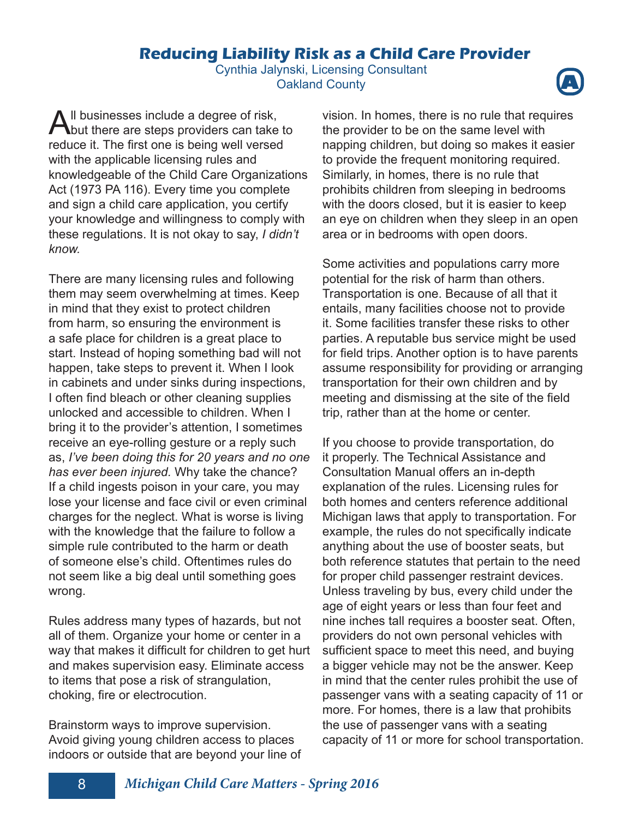#### **Reducing Liability Risk as a Child Care Provider**

Cynthia Jalynski, Licensing Consultant **Oakland County** 



All businesses include a degree of risk,<br>but there are steps providers can take but there are steps providers can take to reduce it. The first one is being well versed with the applicable licensing rules and knowledgeable of the Child Care Organizations Act (1973 PA 116). Every time you complete and sign a child care application, you certify your knowledge and willingness to comply with these regulations. It is not okay to say, *I didn't know.*

There are many licensing rules and following them may seem overwhelming at times. Keep in mind that they exist to protect children from harm, so ensuring the environment is a safe place for children is a great place to start. Instead of hoping something bad will not happen, take steps to prevent it. When I look in cabinets and under sinks during inspections, I often find bleach or other cleaning supplies unlocked and accessible to children. When I bring it to the provider's attention, I sometimes receive an eye-rolling gesture or a reply such as, *I've been doing this for 20 years and no one has ever been injured.* Why take the chance? If a child ingests poison in your care, you may lose your license and face civil or even criminal charges for the neglect. What is worse is living with the knowledge that the failure to follow a simple rule contributed to the harm or death of someone else's child. Oftentimes rules do not seem like a big deal until something goes wrong.

Rules address many types of hazards, but not all of them. Organize your home or center in a way that makes it difficult for children to get hurt and makes supervision easy. Eliminate access to items that pose a risk of strangulation, choking, fire or electrocution.

Brainstorm ways to improve supervision. Avoid giving young children access to places indoors or outside that are beyond your line of vision. In homes, there is no rule that requires the provider to be on the same level with napping children, but doing so makes it easier to provide the frequent monitoring required. Similarly, in homes, there is no rule that prohibits children from sleeping in bedrooms with the doors closed, but it is easier to keep an eye on children when they sleep in an open area or in bedrooms with open doors.

Some activities and populations carry more potential for the risk of harm than others. Transportation is one. Because of all that it entails, many facilities choose not to provide it. Some facilities transfer these risks to other parties. A reputable bus service might be used for field trips. Another option is to have parents assume responsibility for providing or arranging transportation for their own children and by meeting and dismissing at the site of the field trip, rather than at the home or center.

If you choose to provide transportation, do it properly. The Technical Assistance and Consultation Manual offers an in-depth explanation of the rules. Licensing rules for both homes and centers reference additional Michigan laws that apply to transportation. For example, the rules do not specifically indicate anything about the use of booster seats, but both reference statutes that pertain to the need for proper child passenger restraint devices. Unless traveling by bus, every child under the age of eight years or less than four feet and nine inches tall requires a booster seat. Often, providers do not own personal vehicles with sufficient space to meet this need, and buying a bigger vehicle may not be the answer. Keep in mind that the center rules prohibit the use of passenger vans with a seating capacity of 11 or more. For homes, there is a law that prohibits the use of passenger vans with a seating capacity of 11 or more for school transportation.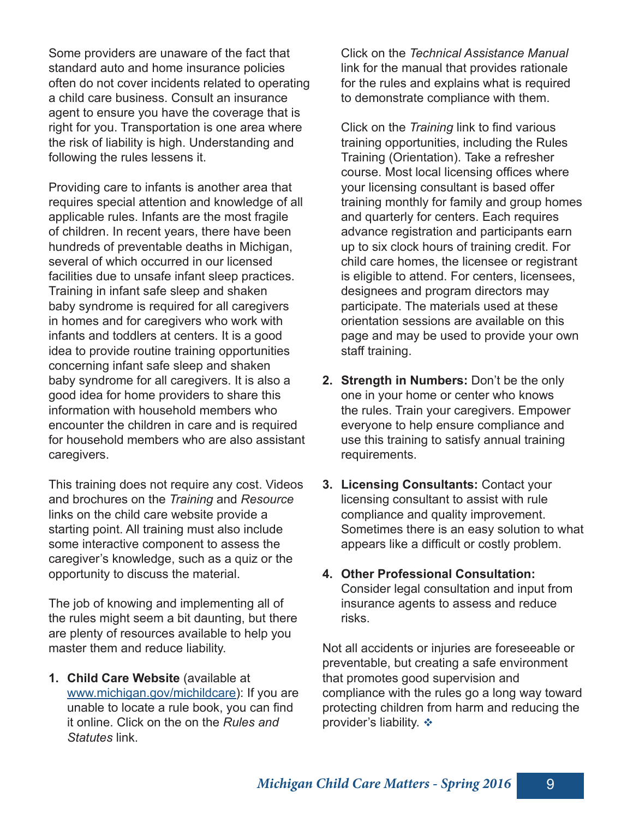Some providers are unaware of the fact that standard auto and home insurance policies often do not cover incidents related to operating a child care business. Consult an insurance agent to ensure you have the coverage that is right for you. Transportation is one area where the risk of liability is high. Understanding and following the rules lessens it.

Providing care to infants is another area that requires special attention and knowledge of all applicable rules. Infants are the most fragile of children. In recent years, there have been hundreds of preventable deaths in Michigan, several of which occurred in our licensed facilities due to unsafe infant sleep practices. Training in infant safe sleep and shaken baby syndrome is required for all caregivers in homes and for caregivers who work with infants and toddlers at centers. It is a good idea to provide routine training opportunities concerning infant safe sleep and shaken baby syndrome for all caregivers. It is also a good idea for home providers to share this information with household members who encounter the children in care and is required for household members who are also assistant caregivers.

This training does not require any cost. Videos and brochures on the *Training* and *Resource*  links on the child care website provide a starting point. All training must also include some interactive component to assess the caregiver's knowledge, such as a quiz or the opportunity to discuss the material.

The job of knowing and implementing all of the rules might seem a bit daunting, but there are plenty of resources available to help you master them and reduce liability.

**1. Child Care Website** (available at www.michigan.gov/michildcare): If you are unable to locate a rule book, you can find it online. Click on the on the *Rules and Statutes* link.

Click on the *Technical Assistance Manual* link for the manual that provides rationale for the rules and explains what is required to demonstrate compliance with them.

Click on the *Training* link to find various training opportunities, including the Rules Training (Orientation). Take a refresher course. Most local licensing offices where your licensing consultant is based offer training monthly for family and group homes and quarterly for centers. Each requires advance registration and participants earn up to six clock hours of training credit. For child care homes, the licensee or registrant is eligible to attend. For centers, licensees, designees and program directors may participate. The materials used at these orientation sessions are available on this page and may be used to provide your own staff training.

- **2. Strength in Numbers:** Don't be the only one in your home or center who knows the rules. Train your caregivers. Empower everyone to help ensure compliance and use this training to satisfy annual training requirements.
- **3. Licensing Consultants:** Contact your licensing consultant to assist with rule compliance and quality improvement. Sometimes there is an easy solution to what appears like a difficult or costly problem.
- **4. Other Professional Consultation:**  Consider legal consultation and input from insurance agents to assess and reduce risks.

Not all accidents or injuries are foreseeable or preventable, but creating a safe environment that promotes good supervision and compliance with the rules go a long way toward protecting children from harm and reducing the provider's liability.  $\div$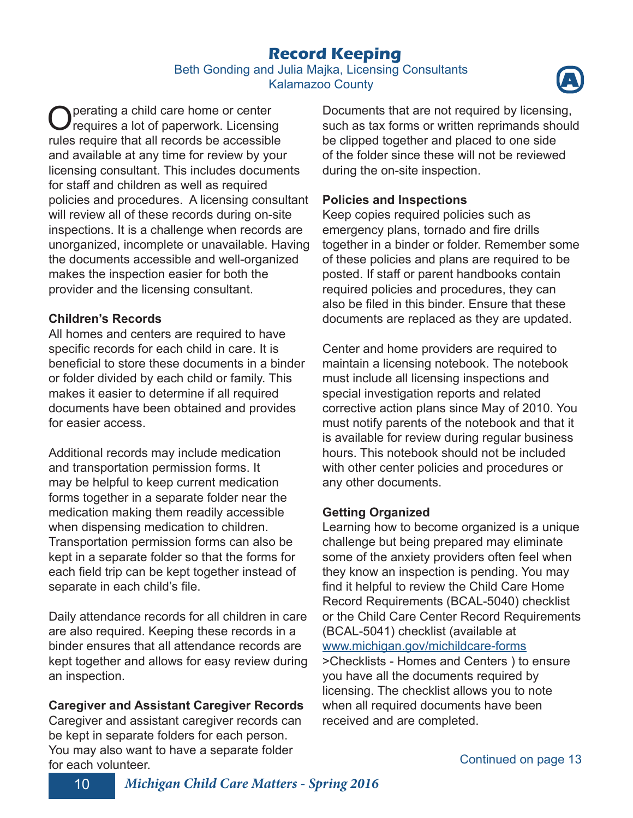### **Record Keeping**

#### Beth Gonding and Julia Majka, Licensing Consultants **Kalamazoo County**



O perating a child care home or center<br>
C requires a lot of paperwork. Licensing requires a lot of paperwork. Licensing rules require that all records be accessible and available at any time for review by your licensing consultant. This includes documents for staff and children as well as required policies and procedures. A licensing consultant will review all of these records during on-site inspections. It is a challenge when records are unorganized, incomplete or unavailable. Having the documents accessible and well-organized makes the inspection easier for both the provider and the licensing consultant.

#### **Children's Records**

All homes and centers are required to have specific records for each child in care. It is beneficial to store these documents in a binder or folder divided by each child or family. This makes it easier to determine if all required documents have been obtained and provides for easier access.

Additional records may include medication and transportation permission forms. It may be helpful to keep current medication forms together in a separate folder near the medication making them readily accessible when dispensing medication to children. Transportation permission forms can also be kept in a separate folder so that the forms for each field trip can be kept together instead of separate in each child's file.

Daily attendance records for all children in care are also required. Keeping these records in a binder ensures that all attendance records are kept together and allows for easy review during an inspection.

#### **Caregiver and Assistant Caregiver Records**

Caregiver and assistant caregiver records can be kept in separate folders for each person. You may also want to have a separate folder for each volunteer.

Documents that are not required by licensing, such as tax forms or written reprimands should be clipped together and placed to one side of the folder since these will not be reviewed during the on-site inspection.

#### **Policies and Inspections**

Keep copies required policies such as emergency plans, tornado and fire drills together in a binder or folder. Remember some of these policies and plans are required to be posted. If staff or parent handbooks contain required policies and procedures, they can also be filed in this binder. Ensure that these documents are replaced as they are updated.

Center and home providers are required to maintain a licensing notebook. The notebook must include all licensing inspections and special investigation reports and related corrective action plans since May of 2010. You must notify parents of the notebook and that it is available for review during regular business hours. This notebook should not be included with other center policies and procedures or any other documents.

#### **Getting Organized**

Learning how to become organized is a unique challenge but being prepared may eliminate some of the anxiety providers often feel when they know an inspection is pending. You may find it helpful to review the Child Care Home Record Requirements (BCAL-5040) checklist or the Child Care Center Record Requirements (BCAL-5041) checklist (available at www.michigan.gov/michildcare-forms

>Checklists - Homes and Centers ) to ensure you have all the documents required by licensing. The checklist allows you to note when all required documents have been received and are completed.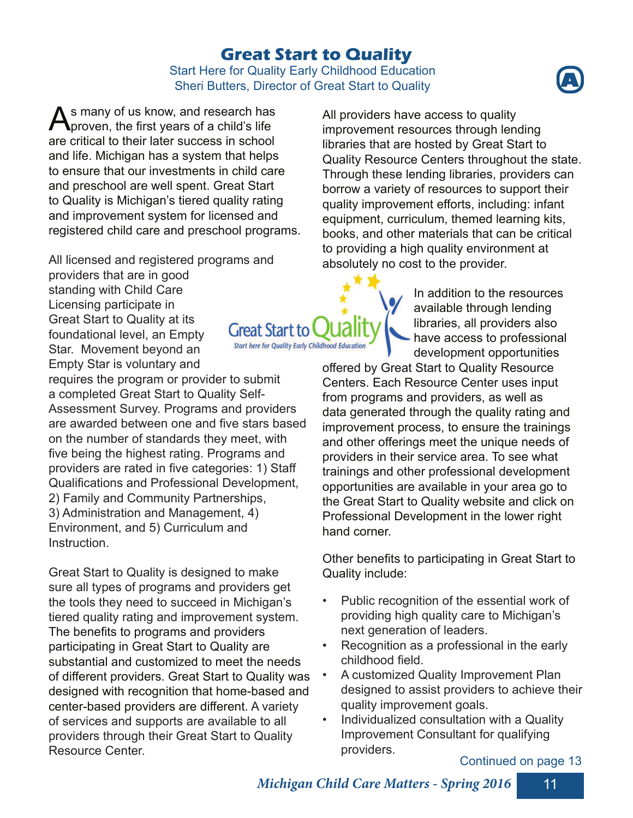### **Great Start to Quality**

#### Start Here for Quality Early Childhood Education Sheri Butters, Director of Great Start to Quality **A**

**Great Start to** 

**Start here for Quality Early Childhood Education** 



All licensed and registered programs and

providers that are in good standing with Child Care Licensing participate in Great Start to Quality at its foundational level, an Empty Star. Movement beyond an Empty Star is voluntary and

requires the program or provider to submit a completed Great Start to Quality Self-Assessment Survey. Programs and providers are awarded between one and five stars based on the number of standards they meet, with five being the highest rating. Programs and providers are rated in five categories: 1) Staff Qualifications and Professional Development, 2) Family and Community Partnerships, 3) Administration and Management, 4) Environment, and 5) Curriculum and Instruction.

Great Start to Quality is designed to make sure all types of programs and providers get the tools they need to succeed in Michigan's tiered quality rating and improvement system. The benefits to programs and providers participating in Great Start to Quality are substantial and customized to meet the needs of different providers. Great Start to Quality was designed with recognition that home-based and center-based providers are different. A variety of services and supports are available to all providers through their Great Start to Quality Resource Center.

All providers have access to quality improvement resources through lending libraries that are hosted by Great Start to Quality Resource Centers throughout the state. Through these lending libraries, providers can borrow a variety of resources to support their quality improvement efforts, including: infant equipment, curriculum, themed learning kits, books, and other materials that can be critical to providing a high quality environment at absolutely no cost to the provider.

> In addition to the resources available through lending libraries, all providers also - have access to professional development opportunities

offered by Great Start to Quality Resource Centers. Each Resource Center uses input from programs and providers, as well as data generated through the quality rating and improvement process, to ensure the trainings and other offerings meet the unique needs of providers in their service area. To see what trainings and other professional development opportunities are available in your area go to the Great Start to Quality website and click on Professional Development in the lower right hand corner.

Other benefits to participating in Great Start to Quality include:

- Public recognition of the essential work of providing high quality care to Michigan's next generation of leaders.
- Recognition as a professional in the early childhood field.
- A customized Quality Improvement Plan designed to assist providers to achieve their quality improvement goals.
- Individualized consultation with a Quality Improvement Consultant for qualifying providers.

#### Continued on page 13



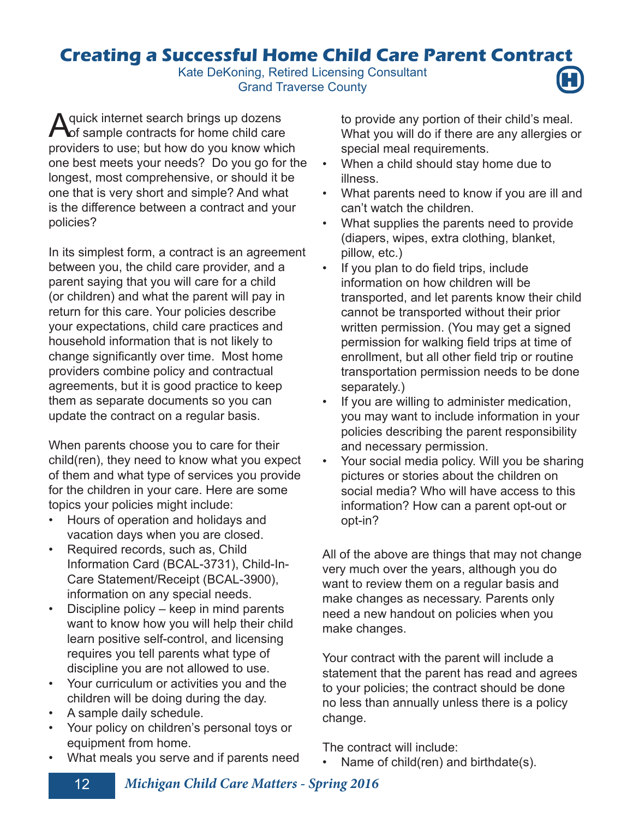## **Creating a Successful Home Child Care Parent Contract**

Kate DeKoning, Retired Licensing Consultant<br>Grand Traverse County



A quick internet search brings up dozens<br> **A** of sample contracts for home child care providers to use; but how do you know which one best meets your needs? Do you go for the longest, most comprehensive, or should it be one that is very short and simple? And what is the difference between a contract and your policies?

In its simplest form, a contract is an agreement between you, the child care provider, and a parent saying that you will care for a child (or children) and what the parent will pay in return for this care. Your policies describe your expectations, child care practices and household information that is not likely to change significantly over time. Most home providers combine policy and contractual agreements, but it is good practice to keep them as separate documents so you can update the contract on a regular basis.

When parents choose you to care for their child(ren), they need to know what you expect of them and what type of services you provide for the children in your care. Here are some topics your policies might include:

- Hours of operation and holidays and vacation days when you are closed.
- Required records, such as, Child Information Card (BCAL-3731), Child-In-Care Statement/Receipt (BCAL-3900), information on any special needs.
- Discipline policy keep in mind parents want to know how you will help their child learn positive self-control, and licensing requires you tell parents what type of discipline you are not allowed to use.
- Your curriculum or activities you and the children will be doing during the day.
- A sample daily schedule.
- Your policy on children's personal toys or equipment from home.
- What meals you serve and if parents need

to provide any portion of their child's meal. What you will do if there are any allergies or special meal requirements.

- When a child should stay home due to illness.
- What parents need to know if you are ill and can't watch the children.
- What supplies the parents need to provide (diapers, wipes, extra clothing, blanket, pillow, etc.)
- If you plan to do field trips, include information on how children will be transported, and let parents know their child cannot be transported without their prior written permission. (You may get a signed permission for walking field trips at time of enrollment, but all other field trip or routine transportation permission needs to be done separately.)
- If you are willing to administer medication, you may want to include information in your policies describing the parent responsibility and necessary permission.
- Your social media policy. Will you be sharing pictures or stories about the children on social media? Who will have access to this information? How can a parent opt-out or opt-in?

All of the above are things that may not change very much over the years, although you do want to review them on a regular basis and make changes as necessary. Parents only need a new handout on policies when you make changes.

Your contract with the parent will include a statement that the parent has read and agrees to your policies; the contract should be done no less than annually unless there is a policy change.

The contract will include:

Name of child(ren) and birthdate(s).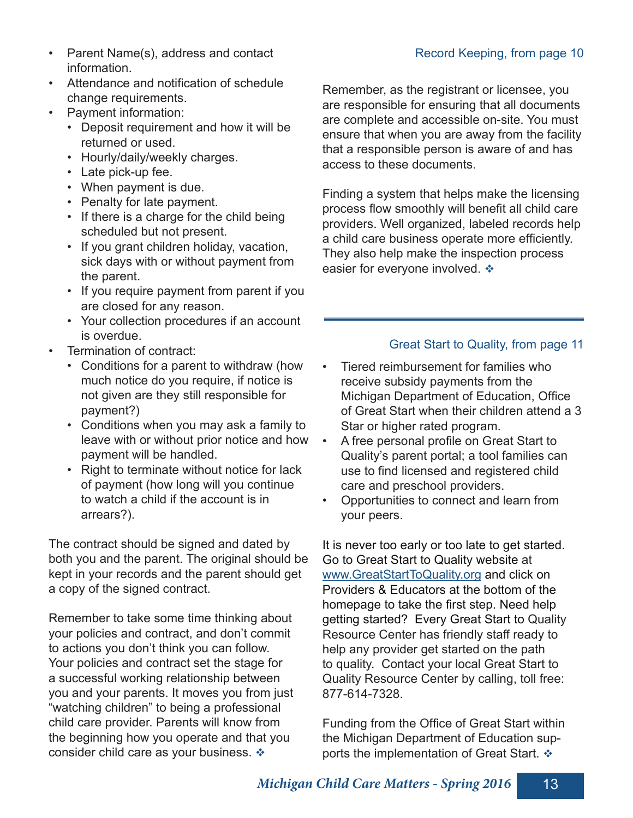- Parent Name(s), address and contact information.
- Attendance and notification of schedule change requirements.
- Payment information:
	- Deposit requirement and how it will be returned or used.
	- Hourly/daily/weekly charges.
	- Late pick-up fee.
	- When payment is due.
	- Penalty for late payment.
	- If there is a charge for the child being scheduled but not present.
	- If you grant children holiday, vacation, sick days with or without payment from the parent.
	- If you require payment from parent if you are closed for any reason.
	- Your collection procedures if an account is overdue.
- Termination of contract:
	- Conditions for a parent to withdraw (how much notice do you require, if notice is not given are they still responsible for payment?)
	- Conditions when you may ask a family to leave with or without prior notice and how payment will be handled.
	- Right to terminate without notice for lack of payment (how long will you continue to watch a child if the account is in arrears?).

The contract should be signed and dated by both you and the parent. The original should be kept in your records and the parent should get a copy of the signed contract.

Remember to take some time thinking about your policies and contract, and don't commit to actions you don't think you can follow. Your policies and contract set the stage for a successful working relationship between you and your parents. It moves you from just "watching children" to being a professional child care provider. Parents will know from the beginning how you operate and that you consider child care as your business.  $\div$ 

Remember, as the registrant or licensee, you are responsible for ensuring that all documents are complete and accessible on-site. You must ensure that when you are away from the facility that a responsible person is aware of and has access to these documents.

Finding a system that helps make the licensing process flow smoothly will benefit all child care providers. Well organized, labeled records help a child care business operate more efficiently. They also help make the inspection process easier for everyone involved.  $\div$ 

#### Great Start to Quality, from page 11

- Tiered reimbursement for families who receive subsidy payments from the Michigan Department of Education, Office of Great Start when their children attend a 3 Star or higher rated program.
- A free personal profile on Great Start to Quality's parent portal; a tool families can use to find licensed and registered child care and preschool providers.
- Opportunities to connect and learn from your peers.

It is never too early or too late to get started. Go to Great Start to Quality website at www.GreatStartToQuality.org and click on Providers & Educators at the bottom of the homepage to take the first step. Need help getting started? Every Great Start to Quality Resource Center has friendly staff ready to help any provider get started on the path to quality. Contact your local Great Start to Quality Resource Center by calling, toll free: 877-614-7328.

Funding from the Office of Great Start within the Michigan Department of Education supports the implementation of Great Start.  $\cdot$